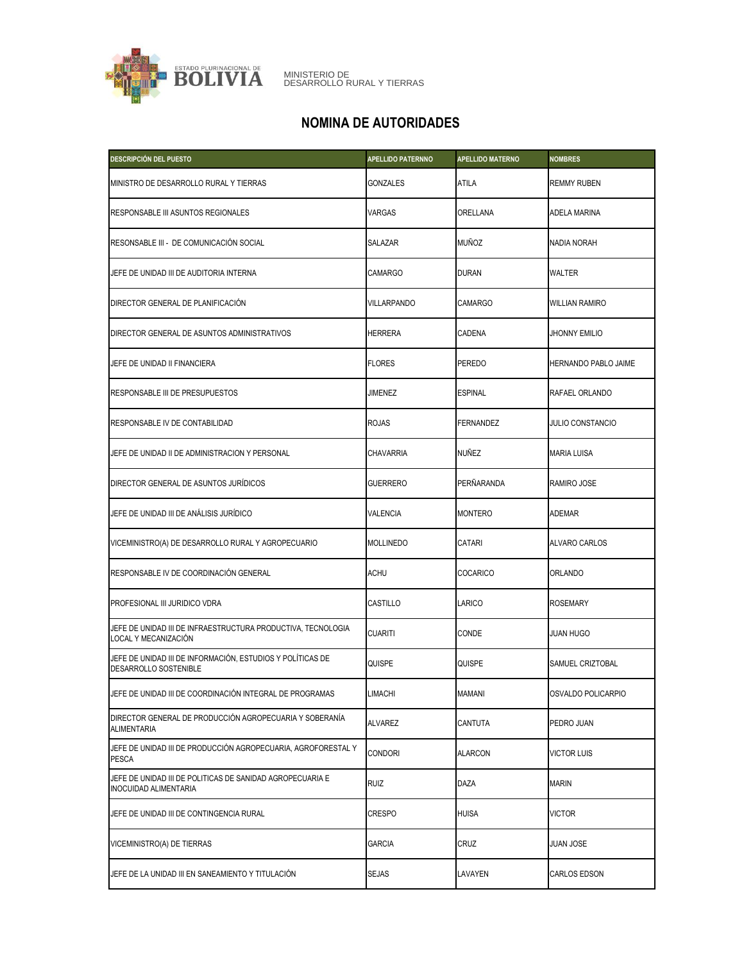

## **NOMINA DE AUTORIDADES**

| DESCRIPCIÓN DEL PUESTO                                                               | <b>APELLIDO PATERNNO</b> | <b>APELLIDO MATERNO</b> | <b>NOMBRES</b>          |
|--------------------------------------------------------------------------------------|--------------------------|-------------------------|-------------------------|
| MINISTRO DE DESARROLLO RURAL Y TIERRAS                                               | <b>GONZALES</b>          | ATILA                   | <b>REMMY RUBEN</b>      |
| RESPONSABLE III ASUNTOS REGIONALES                                                   | VARGAS                   | ORELLANA                | <b>ADELA MARINA</b>     |
| RESONSABLE III - DE COMUNICACIÓN SOCIAL                                              | <b>SALAZAR</b>           | <b>MUÑOZ</b>            | NADIA NORAH             |
| JEFE DE UNIDAD III DE AUDITORIA INTERNA                                              | <b>CAMARGO</b>           | <b>DURAN</b>            | <b>WALTER</b>           |
| DIRECTOR GENERAL DE PLANIFICACIÓN                                                    | <b>VILLARPANDO</b>       | <b>CAMARGO</b>          | <b>WILLIAN RAMIRO</b>   |
| DIRECTOR GENERAL DE ASUNTOS ADMINISTRATIVOS                                          | HERRERA                  | CADENA                  | <b>JHONNY EMILIO</b>    |
| JEFE DE UNIDAD II FINANCIERA                                                         | <b>FLORES</b>            | <b>PEREDO</b>           | HERNANDO PABLO JAIME    |
| RESPONSABLE III DE PRESUPUESTOS                                                      | JIMENEZ                  | <b>ESPINAL</b>          | RAFAEL ORLANDO          |
| RESPONSABLE IV DE CONTABILIDAD                                                       | <b>ROJAS</b>             | <b>FERNANDEZ</b>        | <b>JULIO CONSTANCIO</b> |
| JEFE DE UNIDAD II DE ADMINISTRACION Y PERSONAL                                       | <b>CHAVARRIA</b>         | NUÑEZ                   | <b>MARIA LUISA</b>      |
| DIRECTOR GENERAL DE ASUNTOS JURÍDICOS                                                | <b>GUERRERO</b>          | PERÑARANDA              | RAMIRO JOSE             |
| JEFE DE UNIDAD III DE ANÁLISIS JURÍDICO                                              | VALENCIA                 | <b>MONTERO</b>          | <b>ADEMAR</b>           |
| VICEMINISTRO(A) DE DESARROLLO RURAL Y AGROPECUARIO                                   | <b>MOLLINEDO</b>         | CATARI                  | <b>ALVARO CARLOS</b>    |
| RESPONSABLE IV DE COORDINACIÓN GENERAL                                               | ACHU                     | COCARICO                | <b>ORLANDO</b>          |
| PROFESIONAL III JURIDICO VDRA                                                        | <b>CASTILLO</b>          | LARICO                  | <b>ROSEMARY</b>         |
| JEFE DE UNIDAD III DE INFRAESTRUCTURA PRODUCTIVA, TECNOLOGIA<br>LOCAL Y MECANIZACIÓN | <b>CUARITI</b>           | CONDE                   | <b>JUAN HUGO</b>        |
| JEFE DE UNIDAD III DE INFORMACIÓN, ESTUDIOS Y POLÍTICAS DE<br>DESARROLLO SOSTENIBLE  | QUISPE                   | <b>QUISPE</b>           | SAMUEL CRIZTOBAL        |
| JEFE DE UNIDAD III DE COORDINACIÓN INTEGRAL DE PROGRAMAS                             | LIMACHI                  | MAMANI                  | OSVALDO POLICARPIO      |
| DIRECTOR GENERAL DE PRODUCCIÓN AGROPECUARIA Y SOBERANÍA<br>ALIMENTARIA               | ALVAREZ                  | CANTUTA                 | PEDRO JUAN              |
| JEFE DE UNIDAD III DE PRODUCCIÓN AGROPECUARIA, AGROFORESTAL Y<br>PESCA               | <b>CONDORI</b>           | <b>ALARCON</b>          | <b>VICTOR LUIS</b>      |
| JEFE DE UNIDAD III DE POLITICAS DE SANIDAD AGROPECUARIA E<br>INOCUIDAD ALIMENTARIA   | <b>RUIZ</b>              | DAZA                    | <b>MARIN</b>            |
| JEFE DE UNIDAD III DE CONTINGENCIA RURAL                                             | <b>CRESPO</b>            | <b>HUISA</b>            | <b>VICTOR</b>           |
| VICEMINISTRO(A) DE TIERRAS                                                           | <b>GARCIA</b>            | <b>CRUZ</b>             | <b>JUAN JOSE</b>        |
| JEFE DE LA UNIDAD III EN SANEAMIENTO Y TITULACIÓN                                    | <b>SEJAS</b>             | LAVAYEN                 | CARLOS EDSON            |